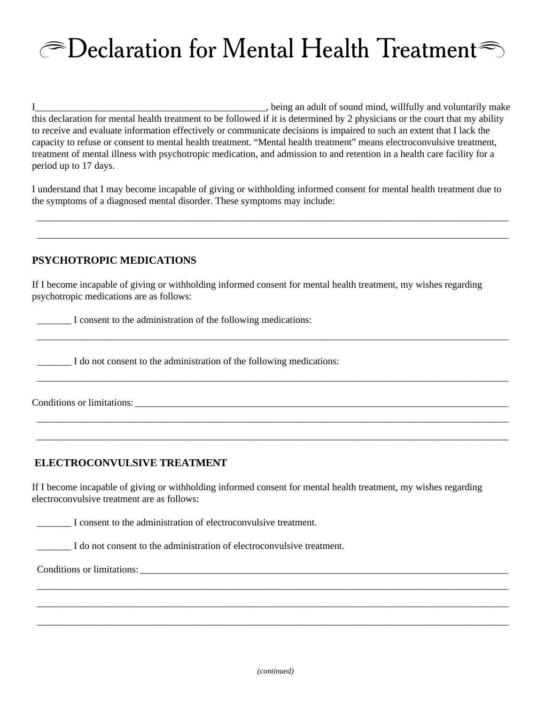# **Example 2 Declaration for Mental Health Treatment**

I\_\_\_\_\_\_\_\_\_\_\_\_\_\_\_\_\_\_\_\_\_\_\_\_\_\_\_\_\_\_\_\_\_\_\_\_\_\_\_\_\_\_\_\_\_\_\_, being an adult of sound mind, willfully and voluntarily make this declaration for mental health treatment to be followed if it is determined by 2 physicians or the court that my ability to receive and evaluate information effectively or communicate decisions is impaired to such an extent that I lack the capacity to refuse or consent to mental health treatment. "Mental health treatment" means electroconvulsive treatment, treatment of mental illness with psychotropic medication, and admission to and retention in a health care facility for a period up to 17 days.

I understand that I may become incapable of giving or withholding informed consent for mental health treatment due to the symptoms of a diagnosed mental disorder. These symptoms may include:

\_\_\_\_\_\_\_\_\_\_\_\_\_\_\_\_\_\_\_\_\_\_\_\_\_\_\_\_\_\_\_\_\_\_\_\_\_\_\_\_\_\_\_\_\_\_\_\_\_\_\_\_\_\_\_\_\_\_\_\_\_\_\_\_\_\_\_\_\_\_\_\_\_\_\_\_\_\_\_\_\_\_\_\_\_\_\_\_\_\_\_\_\_\_\_\_ \_\_\_\_\_\_\_\_\_\_\_\_\_\_\_\_\_\_\_\_\_\_\_\_\_\_\_\_\_\_\_\_\_\_\_\_\_\_\_\_\_\_\_\_\_\_\_\_\_\_\_\_\_\_\_\_\_\_\_\_\_\_\_\_\_\_\_\_\_\_\_\_\_\_\_\_\_\_\_\_\_\_\_\_\_\_\_\_\_\_\_\_\_\_\_\_

\_\_\_\_\_\_\_\_\_\_\_\_\_\_\_\_\_\_\_\_\_\_\_\_\_\_\_\_\_\_\_\_\_\_\_\_\_\_\_\_\_\_\_\_\_\_\_\_\_\_\_\_\_\_\_\_\_\_\_\_\_\_\_\_\_\_\_\_\_\_\_\_\_\_\_\_\_\_\_\_\_\_\_\_\_\_\_\_\_\_\_\_\_\_\_\_

\_\_\_\_\_\_\_\_\_\_\_\_\_\_\_\_\_\_\_\_\_\_\_\_\_\_\_\_\_\_\_\_\_\_\_\_\_\_\_\_\_\_\_\_\_\_\_\_\_\_\_\_\_\_\_\_\_\_\_\_\_\_\_\_\_\_\_\_\_\_\_\_\_\_\_\_\_\_\_\_\_\_\_\_\_\_\_\_\_\_\_\_\_\_\_\_

\_\_\_\_\_\_\_\_\_\_\_\_\_\_\_\_\_\_\_\_\_\_\_\_\_\_\_\_\_\_\_\_\_\_\_\_\_\_\_\_\_\_\_\_\_\_\_\_\_\_\_\_\_\_\_\_\_\_\_\_\_\_\_\_\_\_\_\_\_\_\_\_\_\_\_\_\_\_\_\_\_\_\_\_\_\_\_\_\_\_\_\_\_\_\_\_

\_\_\_\_\_\_\_\_\_\_\_\_\_\_\_\_\_\_\_\_\_\_\_\_\_\_\_\_\_\_\_\_\_\_\_\_\_\_\_\_\_\_\_\_\_\_\_\_\_\_\_\_\_\_\_\_\_\_\_\_\_\_\_\_\_\_\_\_\_\_\_\_\_\_\_\_\_\_\_\_\_\_\_\_\_\_\_\_\_\_\_\_\_\_\_\_

#### **PSYCHOTROPIC MEDICATIONS**

If I become incapable of giving or withholding informed consent for mental health treatment, my wishes regarding psychotropic medications are as follows:

I consent to the administration of the following medications:

\_\_\_\_\_\_\_ I do not consent to the administration of the following medications:

Conditions or limitations: \_\_\_\_\_\_\_\_\_\_\_\_\_\_\_\_\_\_\_\_\_\_\_\_\_\_\_\_\_\_\_\_\_\_\_\_\_\_\_\_\_\_\_\_\_\_\_\_\_\_\_\_\_\_\_\_\_\_\_\_\_\_\_\_\_\_\_\_\_\_\_\_\_\_\_\_

#### **ELECTROCONVULSIVE TREATMENT**

If I become incapable of giving or withholding informed consent for mental health treatment, my wishes regarding electroconvulsive treatment are as follows:

\_\_\_\_\_\_\_ I consent to the administration of electroconvulsive treatment.

\_\_\_\_\_\_\_ I do not consent to the administration of electroconvulsive treatment.

#### Conditions or limitations:

\_\_\_\_\_\_\_\_\_\_\_\_\_\_\_\_\_\_\_\_\_\_\_\_\_\_\_\_\_\_\_\_\_\_\_\_\_\_\_\_\_\_\_\_\_\_\_\_\_\_\_\_\_\_\_\_\_\_\_\_\_\_\_\_\_\_\_\_\_\_\_\_\_\_\_\_\_\_\_\_\_\_\_\_\_\_\_\_\_\_\_\_\_\_\_\_ \_\_\_\_\_\_\_\_\_\_\_\_\_\_\_\_\_\_\_\_\_\_\_\_\_\_\_\_\_\_\_\_\_\_\_\_\_\_\_\_\_\_\_\_\_\_\_\_\_\_\_\_\_\_\_\_\_\_\_\_\_\_\_\_\_\_\_\_\_\_\_\_\_\_\_\_\_\_\_\_\_\_\_\_\_\_\_\_\_\_\_\_\_\_\_\_

\_\_\_\_\_\_\_\_\_\_\_\_\_\_\_\_\_\_\_\_\_\_\_\_\_\_\_\_\_\_\_\_\_\_\_\_\_\_\_\_\_\_\_\_\_\_\_\_\_\_\_\_\_\_\_\_\_\_\_\_\_\_\_\_\_\_\_\_\_\_\_\_\_\_\_\_\_\_\_\_\_\_\_\_\_\_\_\_\_\_\_\_\_\_\_\_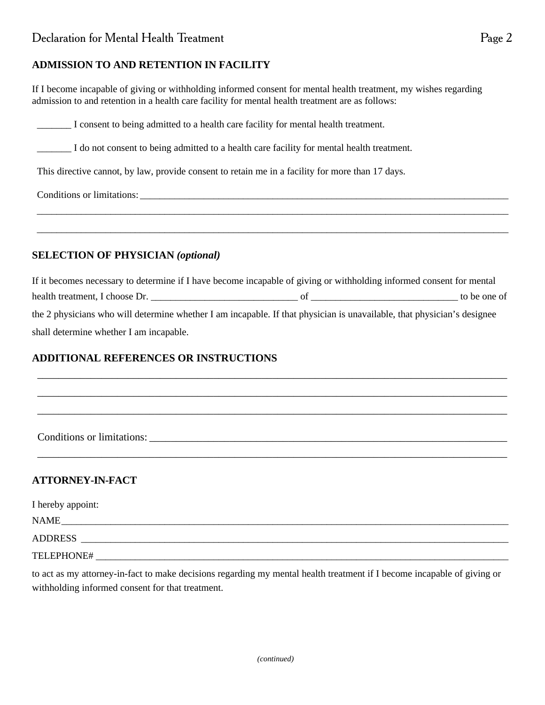## Declaration for Mental Health Treatment Page 2

#### **ADMISSION TO AND RETENTION IN FACILITY**

If I become incapable of giving or withholding informed consent for mental health treatment, my wishes regarding admission to and retention in a health care facility for mental health treatment are as follows:



I do not consent to being admitted to a health care facility for mental health treatment.

This directive cannot, by law, provide consent to retain me in a facility for more than 17 days.

#### Conditions or limitations: \_\_\_\_\_\_\_\_\_\_\_\_\_\_\_\_\_\_\_\_\_\_\_\_\_\_\_\_\_\_\_\_\_\_\_\_\_\_\_\_\_\_\_\_\_\_\_\_\_\_\_\_\_\_\_\_\_\_\_\_\_\_\_\_\_\_\_\_\_\_\_\_\_\_\_

#### **SELECTION OF PHYSICIAN** *(optional)*

| If it becomes necessary to determine if I have become incapable of giving or withholding informed consent for mental    |     |              |
|-------------------------------------------------------------------------------------------------------------------------|-----|--------------|
| health treatment, I choose Dr.                                                                                          | nt. | to be one of |
| the 2 physicians who will determine whether I am incapable. If that physician is unavailable, that physician's designee |     |              |
| shall determine whether I am incapable.                                                                                 |     |              |

\_\_\_\_\_\_\_\_\_\_\_\_\_\_\_\_\_\_\_\_\_\_\_\_\_\_\_\_\_\_\_\_\_\_\_\_\_\_\_\_\_\_\_\_\_\_\_\_\_\_\_\_\_\_\_\_\_\_\_\_\_\_\_\_\_\_\_\_\_\_\_\_\_\_\_\_\_\_\_\_\_\_\_\_\_\_\_\_ \_\_\_\_\_\_\_\_\_\_\_\_\_\_\_\_\_\_\_\_\_\_\_\_\_\_\_\_\_\_\_\_\_\_\_\_\_\_\_\_\_\_\_\_\_\_\_\_\_\_\_\_\_\_\_\_\_\_\_\_\_\_\_\_\_\_\_\_\_\_\_\_\_\_\_\_\_\_\_\_\_\_\_\_\_\_\_\_

\_\_\_\_\_\_\_\_\_\_\_\_\_\_\_\_\_\_\_\_\_\_\_\_\_\_\_\_\_\_\_\_\_\_\_\_\_\_\_\_\_\_\_\_\_\_\_\_\_\_\_\_\_\_\_\_\_\_\_\_\_\_\_\_\_\_\_\_\_\_\_\_\_\_\_\_\_\_\_\_\_\_\_\_\_\_\_\_

\_\_\_\_\_\_\_\_\_\_\_\_\_\_\_\_\_\_\_\_\_\_\_\_\_\_\_\_\_\_\_\_\_\_\_\_\_\_\_\_\_\_\_\_\_\_\_\_\_\_\_\_\_\_\_\_\_\_\_\_\_\_\_\_\_\_\_\_\_\_\_\_\_\_\_\_\_\_\_\_\_\_\_\_\_\_\_\_

\_\_\_\_\_\_\_\_\_\_\_\_\_\_\_\_\_\_\_\_\_\_\_\_\_\_\_\_\_\_\_\_\_\_\_\_\_\_\_\_\_\_\_\_\_\_\_\_\_\_\_\_\_\_\_\_\_\_\_\_\_\_\_\_\_\_\_\_\_\_\_\_\_\_\_\_\_\_\_\_\_\_\_\_\_\_\_\_\_\_\_\_\_\_\_\_

\_\_\_\_\_\_\_\_\_\_\_\_\_\_\_\_\_\_\_\_\_\_\_\_\_\_\_\_\_\_\_\_\_\_\_\_\_\_\_\_\_\_\_\_\_\_\_\_\_\_\_\_\_\_\_\_\_\_\_\_\_\_\_\_\_\_\_\_\_\_\_\_\_\_\_\_\_\_\_\_\_\_\_\_\_\_\_\_\_\_\_\_\_\_\_\_

#### **ADDITIONAL REFERENCES OR INSTRUCTIONS**

Conditions or limitations:

#### **ATTORNEY-IN-FACT**

| I hereby appoint: |  |  |
|-------------------|--|--|
| <b>NAME</b>       |  |  |
| <b>ADDRESS</b>    |  |  |
| TELEPHONE#        |  |  |

to act as my attorney-in-fact to make decisions regarding my mental health treatment if I become incapable of giving or withholding informed consent for that treatment.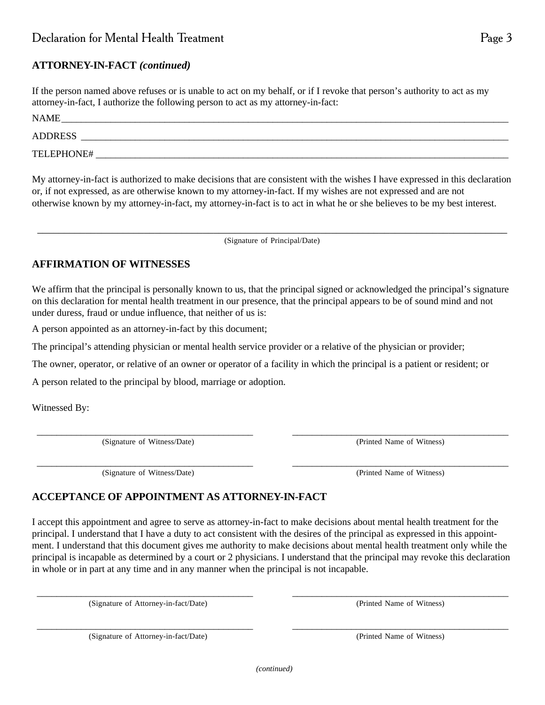#### **ATTORNEY-IN-FACT** *(continued)*

If the person named above refuses or is unable to act on my behalf, or if I revoke that person's authority to act as my attorney-in-fact, I authorize the following person to act as my attorney-in-fact:

| <b>NAME</b>    |  |
|----------------|--|
| <b>ADDRESS</b> |  |
| TELEPHONE#     |  |

My attorney-in-fact is authorized to make decisions that are consistent with the wishes I have expressed in this declaration or, if not expressed, as are otherwise known to my attorney-in-fact. If my wishes are not expressed and are not otherwise known by my attorney-in-fact, my attorney-in-fact is to act in what he or she believes to be my best interest.

\_\_\_\_\_\_\_\_\_\_\_\_\_\_\_\_\_\_\_\_\_\_\_\_\_\_\_\_\_\_\_\_\_\_\_\_\_\_\_\_\_\_\_\_\_\_\_\_\_\_\_\_\_\_\_\_\_\_\_\_\_\_\_\_\_\_\_\_\_\_\_\_\_\_\_\_\_\_\_\_\_\_\_\_\_\_\_\_ (Signature of Principal/Date)

#### **AFFIRMATION OF WITNESSES**

We affirm that the principal is personally known to us, that the principal signed or acknowledged the principal's signature on this declaration for mental health treatment in our presence, that the principal appears to be of sound mind and not under duress, fraud or undue influence, that neither of us is:

A person appointed as an attorney-in-fact by this document;

The principal's attending physician or mental health service provider or a relative of the physician or provider;

The owner, operator, or relative of an owner or operator of a facility in which the principal is a patient or resident; or

A person related to the principal by blood, marriage or adoption.

Witnessed By:

\_\_\_\_\_\_\_\_\_\_\_\_\_\_\_\_\_\_\_\_\_\_\_\_\_\_\_\_\_\_\_\_\_\_\_\_\_\_\_\_\_\_\_\_ \_\_\_\_\_\_\_\_\_\_\_\_\_\_\_\_\_\_\_\_\_\_\_\_\_\_\_\_\_\_\_\_\_\_\_\_\_\_\_\_\_\_\_\_ (Signature of Witness/Date) (Printed Name of Witness)

\_\_\_\_\_\_\_\_\_\_\_\_\_\_\_\_\_\_\_\_\_\_\_\_\_\_\_\_\_\_\_\_\_\_\_\_\_\_\_\_\_\_\_\_ \_\_\_\_\_\_\_\_\_\_\_\_\_\_\_\_\_\_\_\_\_\_\_\_\_\_\_\_\_\_\_\_\_\_\_\_\_\_\_\_\_\_\_\_ (Signature of Witness/Date) (Printed Name of Witness)

## **ACCEPTANCE OF APPOINTMENT AS ATTORNEY-IN-FACT**

I accept this appointment and agree to serve as attorney-in-fact to make decisions about mental health treatment for the principal. I understand that I have a duty to act consistent with the desires of the principal as expressed in this appointment. I understand that this document gives me authority to make decisions about mental health treatment only while the principal is incapable as determined by a court or 2 physicians. I understand that the principal may revoke this declaration in whole or in part at any time and in any manner when the principal is not incapable.

\_\_\_\_\_\_\_\_\_\_\_\_\_\_\_\_\_\_\_\_\_\_\_\_\_\_\_\_\_\_\_\_\_\_\_\_\_\_\_\_\_\_\_\_ \_\_\_\_\_\_\_\_\_\_\_\_\_\_\_\_\_\_\_\_\_\_\_\_\_\_\_\_\_\_\_\_\_\_\_\_\_\_\_\_\_\_\_\_

\_\_\_\_\_\_\_\_\_\_\_\_\_\_\_\_\_\_\_\_\_\_\_\_\_\_\_\_\_\_\_\_\_\_\_\_\_\_\_\_\_\_\_\_ \_\_\_\_\_\_\_\_\_\_\_\_\_\_\_\_\_\_\_\_\_\_\_\_\_\_\_\_\_\_\_\_\_\_\_\_\_\_\_\_\_\_\_\_

(Signature of Attorney-in-fact/Date) (Printed Name of Witness)

(Signature of Attorney-in-fact/Date) (Printed Name of Witness)